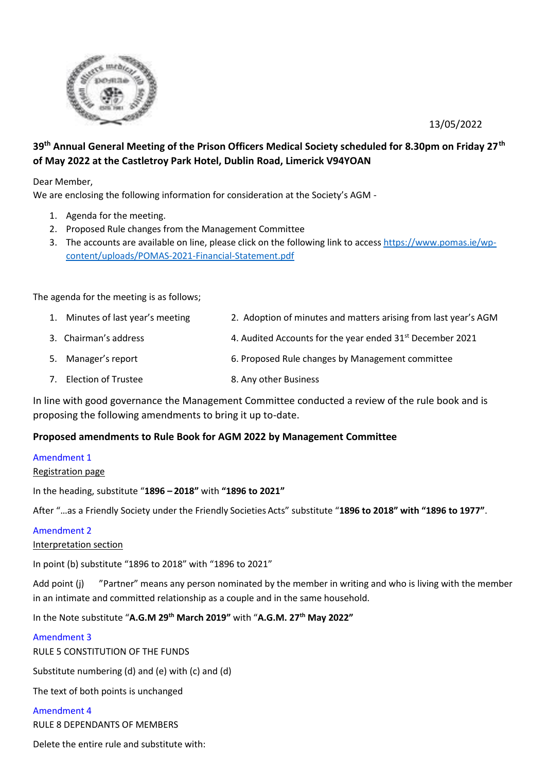13/05/2022



# **39th Annual General Meeting of the Prison Officers Medical Society scheduled for 8.30pm on Friday 27th of May 2022 at the Castletroy Park Hotel, Dublin Road, Limerick V94YOAN**

Dear Member,

We are enclosing the following information for consideration at the Society's AGM -

- 1. Agenda for the meeting.
- 2. Proposed Rule changes from the Management Committee
- 3. The accounts are available on line, please click on the following link to access [https://www.pomas.ie/wp](https://www.pomas.ie/wp-content/uploads/POMAS-2021-Financial-Statement.pdf)[content/uploads/POMAS-2021-Financial-Statement.pdf](https://www.pomas.ie/wp-content/uploads/POMAS-2021-Financial-Statement.pdf)

The agenda for the meeting is as follows;

- 1. Minutes of last year's meeting 2. Adoption of minutes and matters arising from last year's AGM
- 3. Chairman's address  $\frac{4. Audited$  Accounts for the year ended  $31<sup>st</sup>$  December 2021
- 5. Manager's report 6. Proposed Rule changes by Management committee
- 7. Election of Trustee 8. Any other Business

In line with good governance the Management Committee conducted a review of the rule book and is proposing the following amendments to bring it up to-date.

# **Proposed amendments to Rule Book for AGM 2022 by Management Committee**

# Amendment 1

# Registration page

In the heading, substitute "**1896 – 2018"** with **"1896 to 2021"**

After "...as a Friendly Society under the Friendly Societies Acts" substitute "1896 to 2018" with "1896 to 1977".

# Amendment 2

Interpretation section

In point (b) substitute "1896 to 2018" with "1896 to 2021"

Add point (j) "Partner" means any person nominated by the member in writing and who is living with the member in an intimate and committed relationship as a couple and in the same household.

# In the Note substitute "**A.G.M 29th March 2019"** with "**A.G.M. 27th May 2022"**

# Amendment 3

RULE 5 CONSTITUTION OF THE FUNDS

Substitute numbering (d) and (e) with (c) and (d)

The text of both points is unchanged

#### Amendment 4

RULE 8 DEPENDANTS OF MEMBERS

Delete the entire rule and substitute with: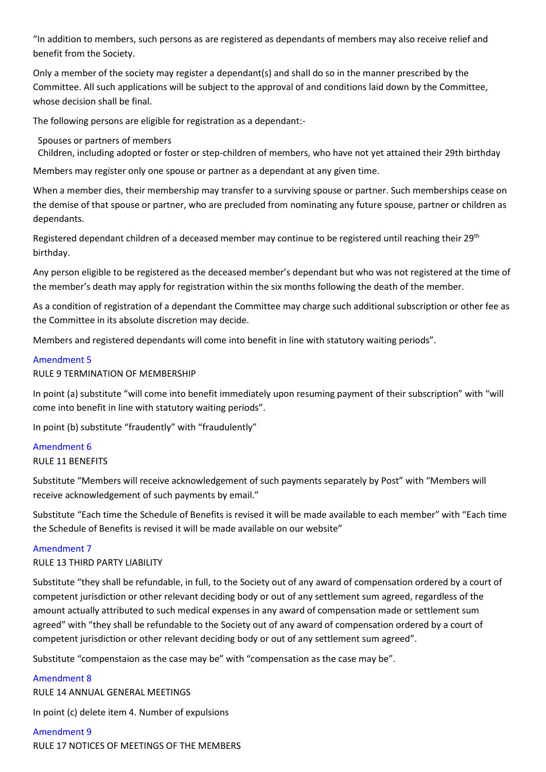"In addition to members, such persons as are registered as dependants of members may also receive relief and benefit from the Society.

Only a member of the society may register a dependant(s) and shall do so in the manner prescribed by the Committee. All such applications will be subject to the approval of and conditions laid down by the Committee, whose decision shall be final.

The following persons are eligible for registration as a dependant:-

Spouses or partners of members

Children, including adopted or foster or step-children of members, who have not yet attained their 29th birthday

Members may register only one spouse or partner as a dependant at any given time.

When a member dies, their membership may transfer to a surviving spouse or partner. Such memberships cease on the demise of that spouse or partner, who are precluded from nominating any future spouse, partner or children as dependants.

Registered dependant children of a deceased member may continue to be registered until reaching their 29<sup>th</sup> birthday.

Any person eligible to be registered as the deceased member's dependant but who was not registered at the time of the member's death may apply for registration within the six months following the death of the member.

As a condition of registration of a dependant the Committee may charge such additional subscription or other fee as the Committee in its absolute discretion may decide.

Members and registered dependants will come into benefit in line with statutory waiting periods".

# Amendment 5

RULE 9 TERMINATION OF MEMBERSHIP

In point (a) substitute "will come into benefit immediately upon resuming payment of their subscription" with "will come into benefit in line with statutory waiting periods".

In point (b) substitute "fraudently" with "fraudulently"

# Amendment 6

# RULE 11 BENEFITS

Substitute "Members will receive acknowledgement of such payments separately by Post" with "Members will receive acknowledgement of such payments by email."

Substitute "Each time the Schedule of Benefits is revised it will be made available to each member" with "Each time the Schedule of Benefits is revised it will be made available on our website"

# Amendment 7

# RULE 13 THIRD PARTY LIABILITY

Substitute "they shall be refundable, in full, to the Society out of any award of compensation ordered by a court of competent jurisdiction or other relevant deciding body or out of any settlement sum agreed, regardless of the amount actually attributed to such medical expenses in any award of compensation made or settlement sum agreed" with "they shall be refundable to the Society out of any award of compensation ordered by a court of competent jurisdiction or other relevant deciding body or out of any settlement sum agreed".

Substitute "compenstaion as the case may be" with "compensation as the case may be".

# Amendment 8

RULE 14 ANNUAL GENERAL MEETINGS

In point (c) delete item 4. Number of expulsions

Amendment 9 RULE 17 NOTICES OF MEETINGS OF THE MEMBERS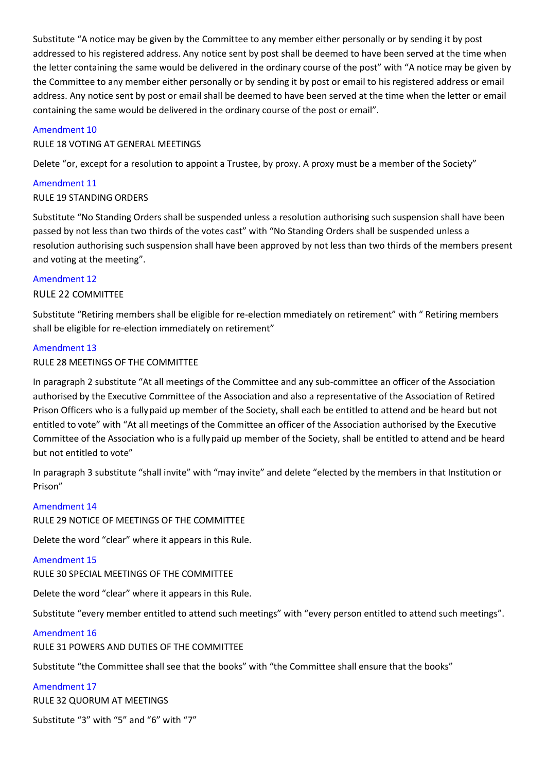Substitute "A notice may be given by the Committee to any member either personally or by sending it by post addressed to his registered address. Any notice sent by post shall be deemed to have been served at the time when the letter containing the same would be delivered in the ordinary course of the post" with "A notice may be given by the Committee to any member either personally or by sending it by post or email to his registered address or email address. Any notice sent by post or email shall be deemed to have been served at the time when the letter or email containing the same would be delivered in the ordinary course of the post or email".

## Amendment 10

## RULE 18 VOTING AT GENERAL MEETINGS

Delete "or, except for a resolution to appoint a Trustee, by proxy. A proxy must be a member of the Society"

# Amendment 11

# RULE 19 STANDING ORDERS

Substitute "No Standing Orders shall be suspended unless a resolution authorising such suspension shall have been passed by not less than two thirds of the votes cast" with "No Standing Orders shall be suspended unless a resolution authorising such suspension shall have been approved by not less than two thirds of the members present and voting at the meeting".

## Amendment 12

## RULE 22 COMMITTEE

Substitute "Retiring members shall be eligible for re-election mmediately on retirement" with " Retiring members shall be eligible for re-election immediately on retirement"

## Amendment 13

## RULE 28 MEETINGS OF THE COMMITTEE

In paragraph 2 substitute "At all meetings of the Committee and any sub-committee an officer of the Association authorised by the Executive Committee of the Association and also a representative of the Association of Retired Prison Officers who is a fullypaid up member of the Society, shall each be entitled to attend and be heard but not entitled to vote" with "At all meetings of the Committee an officer of the Association authorised by the Executive Committee of the Association who is a fullypaid up member of the Society, shall be entitled to attend and be heard but not entitled to vote"

In paragraph 3 substitute "shall invite" with "may invite" and delete "elected by the members in that Institution or Prison"

#### Amendment 14

RULE 29 NOTICE OF MEETINGS OF THE COMMITTEE

Delete the word "clear" where it appears in this Rule.

### Amendment 15

RULE 30 SPECIAL MEETINGS OF THE COMMITTEE

Delete the word "clear" where it appears in this Rule.

Substitute "every member entitled to attend such meetings" with "every person entitled to attend such meetings".

# Amendment 16

RULE 31 POWERS AND DUTIES OF THE COMMITTEE

Substitute "the Committee shall see that the books" with "the Committee shall ensure that the books"

#### Amendment 17

RULE 32 QUORUM AT MEETINGS

Substitute "3" with "5" and "6" with "7"